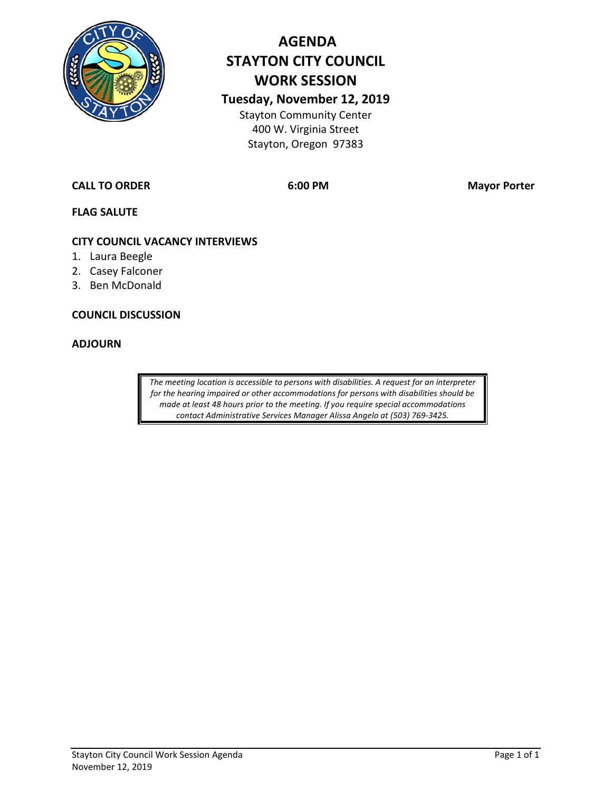

## **AGENDA STAYTON CITY COUNCIL WORK SESSION Tuesday, November 12, 2019**

Stayton Community Center 400 W. Virginia Street Stayton, Oregon 97383

**CALL TO ORDER 6:00 PM Mayor Porter**

**FLAG SALUTE**

## **CITY COUNCIL VACANCY INTERVIEWS**

- 1. Laura Beegle
- 2. Casey Falconer
- 3. Ben McDonald

### **COUNCIL DISCUSSION**

#### **ADJOURN**

*The meeting location is accessible to persons with disabilities. A request for an interpreter for the hearing impaired or other accommodations for persons with disabilities should be made at least 48 hours prior to the meeting. If you require special accommodations contact Administrative Services Manager Alissa Angelo at (503) 769-3425.*